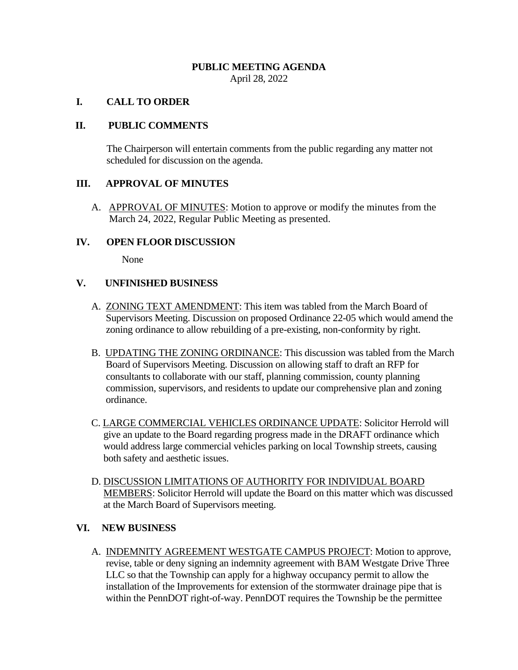### **PUBLIC MEETING AGENDA** April 28, 2022

## **I. CALL TO ORDER**

# **II. PUBLIC COMMENTS**

The Chairperson will entertain comments from the public regarding any matter not scheduled for discussion on the agenda.

## **III. APPROVAL OF MINUTES**

A. APPROVAL OF MINUTES: Motion to approve or modify the minutes from the March 24, 2022, Regular Public Meeting as presented.

#### **IV. OPEN FLOOR DISCUSSION**

None

## **V. UNFINISHED BUSINESS**

- A. **ZONING TEXT AMENDMENT**: This item was tabled from the March Board of Supervisors Meeting. Discussion on proposed Ordinance 22-05 which would amend the zoning ordinance to allow rebuilding of a pre-existing, non-conformity by right.
- B. UPDATING THE ZONING ORDINANCE: This discussion was tabled from the March Board of Supervisors Meeting. Discussion on allowing staff to draft an RFP for consultants to collaborate with our staff, planning commission, county planning commission, supervisors, and residents to update our comprehensive plan and zoning ordinance.
- C. LARGE COMMERCIAL VEHICLES ORDINANCE UPDATE: Solicitor Herrold will give an update to the Board regarding progress made in the DRAFT ordinance which would address large commercial vehicles parking on local Township streets, causing both safety and aesthetic issues.
- D. DISCUSSION LIMITATIONS OF AUTHORITY FOR INDIVIDUAL BOARD MEMBERS: Solicitor Herrold will update the Board on this matter which was discussed at the March Board of Supervisors meeting.

# **VI. NEW BUSINESS**

A. INDEMNITY AGREEMENT WESTGATE CAMPUS PROJECT: Motion to approve, revise, table or deny signing an indemnity agreement with BAM Westgate Drive Three LLC so that the Township can apply for a highway occupancy permit to allow the installation of the Improvements for extension of the stormwater drainage pipe that is within the PennDOT right-of-way. PennDOT requires the Township be the permittee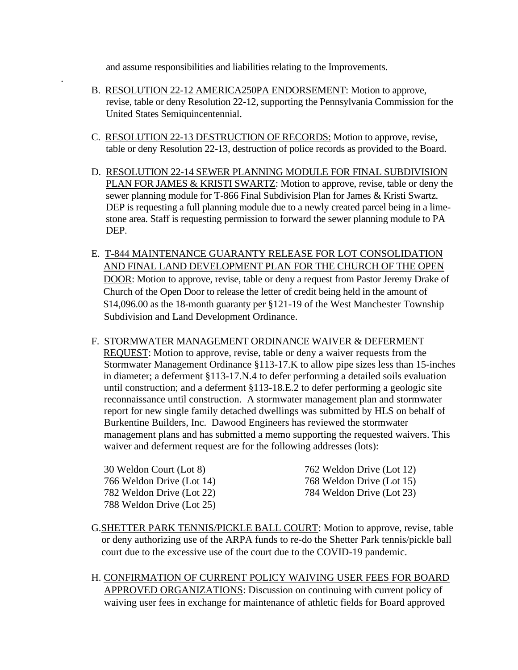and assume responsibilities and liabilities relating to the Improvements.

- B. RESOLUTION 22-12 AMERICA250PA ENDORSEMENT: Motion to approve, revise, table or deny Resolution 22-12, supporting the Pennsylvania Commission for the United States Semiquincentennial.
- C. RESOLUTION 22-13 DESTRUCTION OF RECORDS: Motion to approve, revise, table or deny Resolution 22-13, destruction of police records as provided to the Board.
- D. RESOLUTION 22-14 SEWER PLANNING MODULE FOR FINAL SUBDIVISION PLAN FOR JAMES & KRISTI SWARTZ: Motion to approve, revise, table or deny the sewer planning module for T-866 Final Subdivision Plan for James & Kristi Swartz. DEP is requesting a full planning module due to a newly created parcel being in a lime stone area. Staff is requesting permission to forward the sewer planning module to PA DEP.
- E. T-844 MAINTENANCE GUARANTY RELEASE FOR LOT CONSOLIDATION AND FINAL LAND DEVELOPMENT PLAN FOR THE CHURCH OF THE OPEN DOOR: Motion to approve, revise, table or deny a request from Pastor Jeremy Drake of Church of the Open Door to release the letter of credit being held in the amount of \$14,096.00 as the 18-month guaranty per §121-19 of the West Manchester Township Subdivision and Land Development Ordinance.
- F. STORMWATER MANAGEMENT ORDINANCE WAIVER & DEFERMENT REQUEST: Motion to approve, revise, table or deny a waiver requests from the Stormwater Management Ordinance §113-17.K to allow pipe sizes less than 15-inches in diameter; a deferment §113-17.N.4 to defer performing a detailed soils evaluation until construction; and a deferment §113-18.E.2 to defer performing a geologic site reconnaissance until construction. A stormwater management plan and stormwater report for new single family detached dwellings was submitted by HLS on behalf of Burkentine Builders, Inc. Dawood Engineers has reviewed the stormwater management plans and has submitted a memo supporting the requested waivers. This waiver and deferment request are for the following addresses (lots):

788 Weldon Drive (Lot 25)

.

 30 Weldon Court (Lot 8) 762 Weldon Drive (Lot 12) 766 Weldon Drive (Lot 14) 768 Weldon Drive (Lot 15) 782 Weldon Drive (Lot 22) 784 Weldon Drive (Lot 23)

- G.SHETTER PARK TENNIS/PICKLE BALL COURT: Motion to approve, revise, table or deny authorizing use of the ARPA funds to re-do the Shetter Park tennis/pickle ball court due to the excessive use of the court due to the COVID-19 pandemic.
- H. CONFIRMATION OF CURRENT POLICY WAIVING USER FEES FOR BOARD APPROVED ORGANIZATIONS: Discussion on continuing with current policy of waiving user fees in exchange for maintenance of athletic fields for Board approved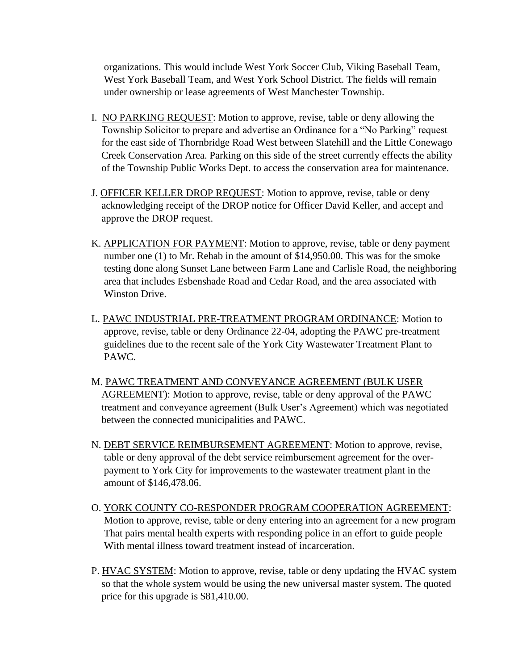organizations. This would include West York Soccer Club, Viking Baseball Team, West York Baseball Team, and West York School District. The fields will remain under ownership or lease agreements of West Manchester Township.

- I. NO PARKING REQUEST: Motion to approve, revise, table or deny allowing the Township Solicitor to prepare and advertise an Ordinance for a "No Parking" request for the east side of Thornbridge Road West between Slatehill and the Little Conewago Creek Conservation Area. Parking on this side of the street currently effects the ability of the Township Public Works Dept. to access the conservation area for maintenance.
- J. OFFICER KELLER DROP REQUEST: Motion to approve, revise, table or deny acknowledging receipt of the DROP notice for Officer David Keller, and accept and approve the DROP request.
- K. APPLICATION FOR PAYMENT: Motion to approve, revise, table or deny payment number one (1) to Mr. Rehab in the amount of \$14,950.00. This was for the smoke testing done along Sunset Lane between Farm Lane and Carlisle Road, the neighboring area that includes Esbenshade Road and Cedar Road, and the area associated with Winston Drive.
- L. PAWC INDUSTRIAL PRE-TREATMENT PROGRAM ORDINANCE: Motion to approve, revise, table or deny Ordinance 22-04, adopting the PAWC pre-treatment guidelines due to the recent sale of the York City Wastewater Treatment Plant to PAWC.
- M. PAWC TREATMENT AND CONVEYANCE AGREEMENT (BULK USER AGREEMENT): Motion to approve, revise, table or deny approval of the PAWC treatment and conveyance agreement (Bulk User's Agreement) which was negotiated between the connected municipalities and PAWC.
- N. DEBT SERVICE REIMBURSEMENT AGREEMENT: Motion to approve, revise, table or deny approval of the debt service reimbursement agreement for the over payment to York City for improvements to the wastewater treatment plant in the amount of \$146,478.06.
- O. YORK COUNTY CO-RESPONDER PROGRAM COOPERATION AGREEMENT: Motion to approve, revise, table or deny entering into an agreement for a new program That pairs mental health experts with responding police in an effort to guide people With mental illness toward treatment instead of incarceration.
- P. HVAC SYSTEM: Motion to approve, revise, table or deny updating the HVAC system so that the whole system would be using the new universal master system. The quoted price for this upgrade is \$81,410.00.